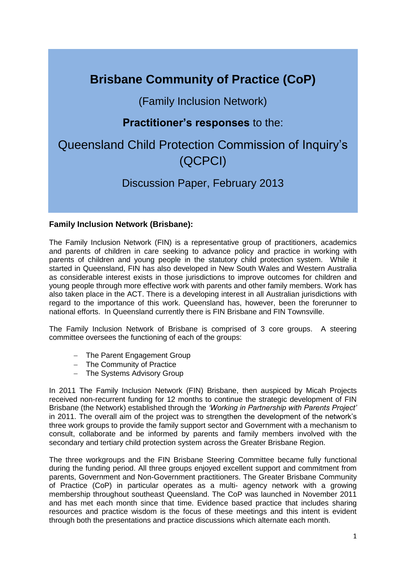# **Brisbane Community of Practice (CoP)**

# (Family Inclusion Network)

# **Practitioner's responses** to the:

# Queensland Child Protection Commission of Inquiry's (QCPCI)

# Discussion Paper, February 2013

## **Family Inclusion Network (Brisbane):**

The Family Inclusion Network (FIN) is a representative group of practitioners, academics and parents of children in care seeking to advance policy and practice in working with parents of children and young people in the statutory child protection system. While it started in Queensland, FIN has also developed in New South Wales and Western Australia as considerable interest exists in those jurisdictions to improve outcomes for children and young people through more effective work with parents and other family members. Work has also taken place in the ACT. There is a developing interest in all Australian jurisdictions with regard to the importance of this work. Queensland has, however, been the forerunner to national efforts. In Queensland currently there is FIN Brisbane and FIN Townsville.

The Family Inclusion Network of Brisbane is comprised of 3 core groups. A steering committee oversees the functioning of each of the groups:

- The Parent Engagement Group
- The Community of Practice
- The Systems Advisory Group

In 2011 The Family Inclusion Network (FIN) Brisbane, then auspiced by Micah Projects received non-recurrent funding for 12 months to continue the strategic development of FIN Brisbane (the Network) established through the *'Working in Partnership with Parents Project'*  in 2011. The overall aim of the project was to strengthen the development of the network's three work groups to provide the family support sector and Government with a mechanism to consult, collaborate and be informed by parents and family members involved with the secondary and tertiary child protection system across the Greater Brisbane Region.

The three workgroups and the FIN Brisbane Steering Committee became fully functional during the funding period. All three groups enjoyed excellent support and commitment from parents, Government and Non-Government practitioners. The Greater Brisbane Community of Practice (CoP) in particular operates as a multi- agency network with a growing membership throughout southeast Queensland. The CoP was launched in November 2011 and has met each month since that time. Evidence based practice that includes sharing resources and practice wisdom is the focus of these meetings and this intent is evident through both the presentations and practice discussions which alternate each month.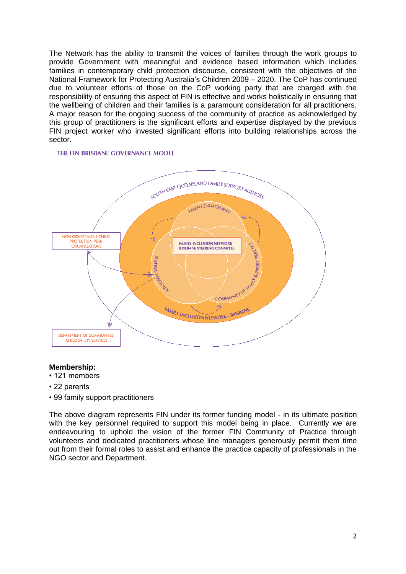The Network has the ability to transmit the voices of families through the work groups to provide Government with meaningful and evidence based information which includes families in contemporary child protection discourse, consistent with the objectives of the National Framework for Protecting Australia's Children 2009 – 2020. The CoP has continued due to volunteer efforts of those on the CoP working party that are charged with the responsibility of ensuring this aspect of FIN is effective and works holistically in ensuring that the wellbeing of children and their families is a paramount consideration for all practitioners. A major reason for the ongoing success of the community of practice as acknowledged by this group of practitioners is the significant efforts and expertise displayed by the previous FIN project worker who invested significant efforts into building relationships across the sector.

#### THE FIN BRISBANE GOVERNANCE MODEL



#### **Membership:**

- 121 members
- 22 parents
- 99 family support practitioners

The above diagram represents FIN under its former funding model - in its ultimate position with the key personnel required to support this model being in place. Currently we are endeavouring to uphold the vision of the former FIN Community of Practice through volunteers and dedicated practitioners whose line managers generously permit them time out from their formal roles to assist and enhance the practice capacity of professionals in the NGO sector and Department.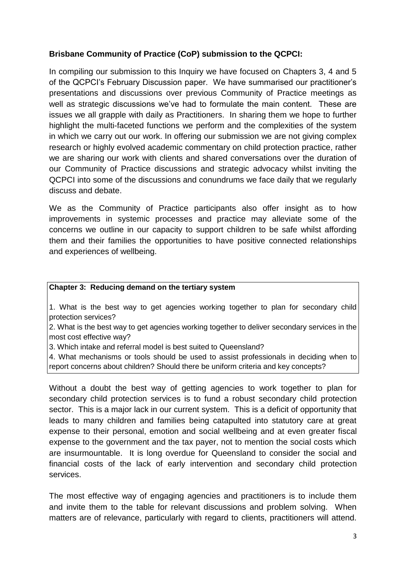## **Brisbane Community of Practice (CoP) submission to the QCPCI:**

In compiling our submission to this Inquiry we have focused on Chapters 3, 4 and 5 of the QCPCI's February Discussion paper. We have summarised our practitioner's presentations and discussions over previous Community of Practice meetings as well as strategic discussions we've had to formulate the main content. These are issues we all grapple with daily as Practitioners. In sharing them we hope to further highlight the multi-faceted functions we perform and the complexities of the system in which we carry out our work. In offering our submission we are not giving complex research or highly evolved academic commentary on child protection practice, rather we are sharing our work with clients and shared conversations over the duration of our Community of Practice discussions and strategic advocacy whilst inviting the QCPCI into some of the discussions and conundrums we face daily that we regularly discuss and debate.

We as the Community of Practice participants also offer insight as to how improvements in systemic processes and practice may alleviate some of the concerns we outline in our capacity to support children to be safe whilst affording them and their families the opportunities to have positive connected relationships and experiences of wellbeing.

## **Chapter 3: Reducing demand on the tertiary system**

1. What is the best way to get agencies working together to plan for secondary child protection services?

2. What is the best way to get agencies working together to deliver secondary services in the most cost effective way?

3. Which intake and referral model is best suited to Queensland?

4. What mechanisms or tools should be used to assist professionals in deciding when to report concerns about children? Should there be uniform criteria and key concepts?

Without a doubt the best way of getting agencies to work together to plan for secondary child protection services is to fund a robust secondary child protection sector. This is a major lack in our current system. This is a deficit of opportunity that leads to many children and families being catapulted into statutory care at great expense to their personal, emotion and social wellbeing and at even greater fiscal expense to the government and the tax payer, not to mention the social costs which are insurmountable. It is long overdue for Queensland to consider the social and financial costs of the lack of early intervention and secondary child protection services.

The most effective way of engaging agencies and practitioners is to include them and invite them to the table for relevant discussions and problem solving. When matters are of relevance, particularly with regard to clients, practitioners will attend.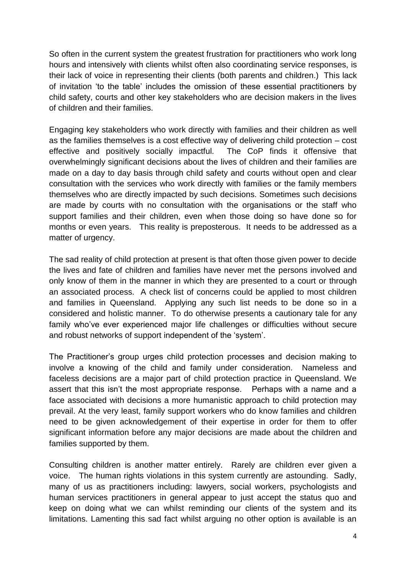So often in the current system the greatest frustration for practitioners who work long hours and intensively with clients whilst often also coordinating service responses, is their lack of voice in representing their clients (both parents and children.) This lack of invitation 'to the table' includes the omission of these essential practitioners by child safety, courts and other key stakeholders who are decision makers in the lives of children and their families.

Engaging key stakeholders who work directly with families and their children as well as the families themselves is a cost effective way of delivering child protection – cost effective and positively socially impactful. The CoP finds it offensive that overwhelmingly significant decisions about the lives of children and their families are made on a day to day basis through child safety and courts without open and clear consultation with the services who work directly with families or the family members themselves who are directly impacted by such decisions. Sometimes such decisions are made by courts with no consultation with the organisations or the staff who support families and their children, even when those doing so have done so for months or even years. This reality is preposterous. It needs to be addressed as a matter of urgency.

The sad reality of child protection at present is that often those given power to decide the lives and fate of children and families have never met the persons involved and only know of them in the manner in which they are presented to a court or through an associated process. A check list of concerns could be applied to most children and families in Queensland. Applying any such list needs to be done so in a considered and holistic manner. To do otherwise presents a cautionary tale for any family who've ever experienced major life challenges or difficulties without secure and robust networks of support independent of the 'system'.

The Practitioner's group urges child protection processes and decision making to involve a knowing of the child and family under consideration. Nameless and faceless decisions are a major part of child protection practice in Queensland. We assert that this isn't the most appropriate response. Perhaps with a name and a face associated with decisions a more humanistic approach to child protection may prevail. At the very least, family support workers who do know families and children need to be given acknowledgement of their expertise in order for them to offer significant information before any major decisions are made about the children and families supported by them.

Consulting children is another matter entirely. Rarely are children ever given a voice. The human rights violations in this system currently are astounding. Sadly, many of us as practitioners including: lawyers, social workers, psychologists and human services practitioners in general appear to just accept the status quo and keep on doing what we can whilst reminding our clients of the system and its limitations. Lamenting this sad fact whilst arguing no other option is available is an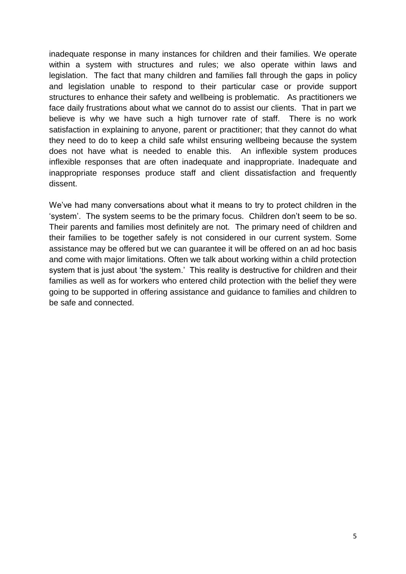inadequate response in many instances for children and their families. We operate within a system with structures and rules; we also operate within laws and legislation. The fact that many children and families fall through the gaps in policy and legislation unable to respond to their particular case or provide support structures to enhance their safety and wellbeing is problematic. As practitioners we face daily frustrations about what we cannot do to assist our clients. That in part we believe is why we have such a high turnover rate of staff. There is no work satisfaction in explaining to anyone, parent or practitioner; that they cannot do what they need to do to keep a child safe whilst ensuring wellbeing because the system does not have what is needed to enable this. An inflexible system produces inflexible responses that are often inadequate and inappropriate. Inadequate and inappropriate responses produce staff and client dissatisfaction and frequently dissent.

We've had many conversations about what it means to try to protect children in the 'system'. The system seems to be the primary focus. Children don't seem to be so. Their parents and families most definitely are not. The primary need of children and their families to be together safely is not considered in our current system. Some assistance may be offered but we can guarantee it will be offered on an ad hoc basis and come with major limitations. Often we talk about working within a child protection system that is just about 'the system.' This reality is destructive for children and their families as well as for workers who entered child protection with the belief they were going to be supported in offering assistance and guidance to families and children to be safe and connected.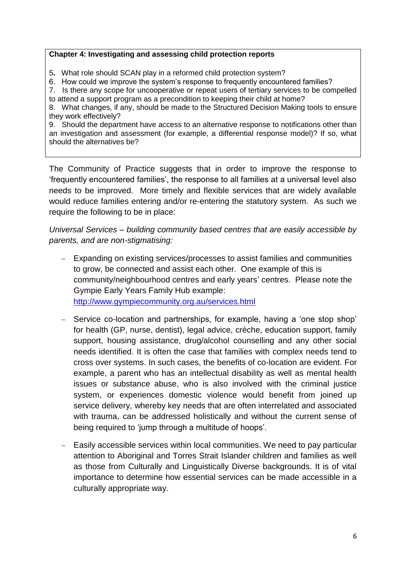### **Chapter 4: Investigating and assessing child protection reports**

5**.** What role should SCAN play in a reformed child protection system?

6. How could we improve the system's response to frequently encountered families?

7. Is there any scope for uncooperative or repeat users of tertiary services to be compelled

to attend a support program as a precondition to keeping their child at home? 8. What changes, if any, should be made to the Structured Decision Making tools to ensure they work effectively?

9. Should the department have access to an alternative response to notifications other than an investigation and assessment (for example, a differential response model)? If so, what should the alternatives be?

The Community of Practice suggests that in order to improve the response to 'frequently encountered families', the response to all families at a universal level also needs to be improved. More timely and flexible services that are widely available would reduce families entering and/or re-entering the statutory system. As such we require the following to be in place:

*Universal Services – building community based centres that are easily accessible by parents, and are non-stigmatising:*

- Expanding on existing services/processes to assist families and communities to grow, be connected and assist each other. One example of this is community/neighbourhood centres and early years' centres. Please note the Gympie Early Years Family Hub example: <http://www.gympiecommunity.org.au/services.html>
- Service co-location and partnerships, for example, having a 'one stop shop' for health (GP, nurse, dentist), legal advice, crèche, education support, family support, housing assistance, drug/alcohol counselling and any other social needs identified. It is often the case that families with complex needs tend to cross over systems. In such cases, the benefits of co-location are evident. For example, a parent who has an intellectual disability as well as mental health issues or substance abuse, who is also involved with the criminal justice system, or experiences domestic violence would benefit from joined up service delivery, whereby key needs that are often interrelated and associated with trauma, can be addressed holistically and without the current sense of being required to 'jump through a multitude of hoops'.
- Easily accessible services within local communities. We need to pay particular attention to Aboriginal and Torres Strait Islander children and families as well as those from Culturally and Linguistically Diverse backgrounds. It is of vital importance to determine how essential services can be made accessible in a culturally appropriate way.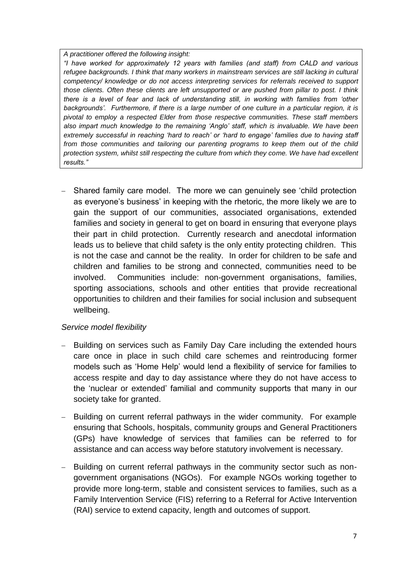#### *A practitioner offered the following insight:*

*"I have worked for approximately 12 years with families (and staff) from CALD and various refugee backgrounds. I think that many workers in mainstream services are still lacking in cultural competency/ knowledge or do not access interpreting services for referrals received to support those clients. Often these clients are left unsupported or are pushed from pillar to post. I think there is a level of fear and lack of understanding still, in working with families from 'other backgrounds'. Furthermore, if there is a large number of one culture in a particular region, it is pivotal to employ a respected Elder from those respective communities. These staff members also impart much knowledge to the remaining 'Anglo' staff, which is invaluable. We have been extremely successful in reaching 'hard to reach' or 'hard to engage' families due to having staff from those communities and tailoring our parenting programs to keep them out of the child protection system, whilst still respecting the culture from which they come. We have had excellent results."*

 Shared family care model. The more we can genuinely see 'child protection as everyone's business' in keeping with the rhetoric, the more likely we are to gain the support of our communities, associated organisations, extended families and society in general to get on board in ensuring that everyone plays their part in child protection. Currently research and anecdotal information leads us to believe that child safety is the only entity protecting children. This is not the case and cannot be the reality. In order for children to be safe and children and families to be strong and connected, communities need to be involved. Communities include: non-government organisations, families, sporting associations, schools and other entities that provide recreational opportunities to children and their families for social inclusion and subsequent wellbeing.

## *Service model flexibility*

- Building on services such as Family Day Care including the extended hours care once in place in such child care schemes and reintroducing former models such as 'Home Help' would lend a flexibility of service for families to access respite and day to day assistance where they do not have access to the 'nuclear or extended' familial and community supports that many in our society take for granted.
- Building on current referral pathways in the wider community. For example ensuring that Schools, hospitals, community groups and General Practitioners (GPs) have knowledge of services that families can be referred to for assistance and can access way before statutory involvement is necessary.
- Building on current referral pathways in the community sector such as nongovernment organisations (NGOs). For example NGOs working together to provide more long-term, stable and consistent services to families, such as a Family Intervention Service (FIS) referring to a Referral for Active Intervention (RAI) service to extend capacity, length and outcomes of support.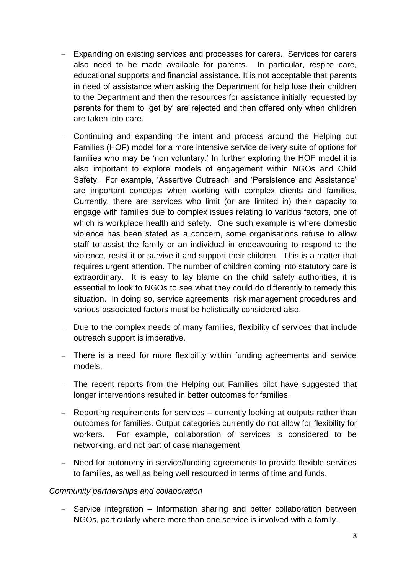- Expanding on existing services and processes for carers. Services for carers also need to be made available for parents. In particular, respite care, educational supports and financial assistance. It is not acceptable that parents in need of assistance when asking the Department for help lose their children to the Department and then the resources for assistance initially requested by parents for them to 'get by' are rejected and then offered only when children are taken into care.
- Continuing and expanding the intent and process around the Helping out Families (HOF) model for a more intensive service delivery suite of options for families who may be 'non voluntary.' In further exploring the HOF model it is also important to explore models of engagement within NGOs and Child Safety. For example, 'Assertive Outreach' and 'Persistence and Assistance' are important concepts when working with complex clients and families. Currently, there are services who limit (or are limited in) their capacity to engage with families due to complex issues relating to various factors, one of which is workplace health and safety. One such example is where domestic violence has been stated as a concern, some organisations refuse to allow staff to assist the family or an individual in endeavouring to respond to the violence, resist it or survive it and support their children. This is a matter that requires urgent attention. The number of children coming into statutory care is extraordinary. It is easy to lay blame on the child safety authorities, it is essential to look to NGOs to see what they could do differently to remedy this situation. In doing so, service agreements, risk management procedures and various associated factors must be holistically considered also.
- Due to the complex needs of many families, flexibility of services that include outreach support is imperative.
- There is a need for more flexibility within funding agreements and service models.
- The recent reports from the Helping out Families pilot have suggested that longer interventions resulted in better outcomes for families.
- Reporting requirements for services currently looking at outputs rather than outcomes for families. Output categories currently do not allow for flexibility for workers. For example, collaboration of services is considered to be networking, and not part of case management.
- Need for autonomy in service/funding agreements to provide flexible services to families, as well as being well resourced in terms of time and funds.

### *Community partnerships and collaboration*

- Service integration – Information sharing and better collaboration between NGOs, particularly where more than one service is involved with a family.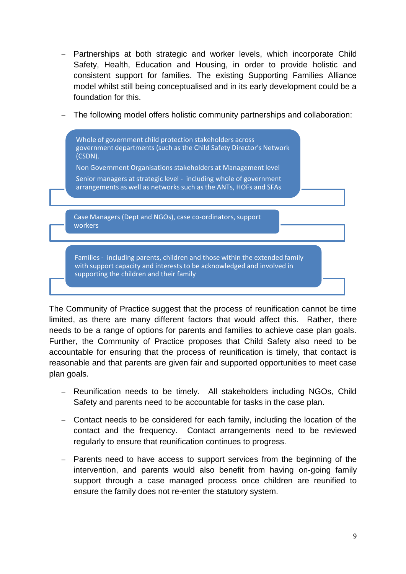- Partnerships at both strategic and worker levels, which incorporate Child Safety, Health, Education and Housing, in order to provide holistic and consistent support for families. The existing Supporting Families Alliance model whilst still being conceptualised and in its early development could be a foundation for this.
- The following model offers holistic community partnerships and collaboration:



The Community of Practice suggest that the process of reunification cannot be time limited, as there are many different factors that would affect this. Rather, there needs to be a range of options for parents and families to achieve case plan goals. Further, the Community of Practice proposes that Child Safety also need to be accountable for ensuring that the process of reunification is timely, that contact is reasonable and that parents are given fair and supported opportunities to meet case plan goals.

- Reunification needs to be timely. All stakeholders including NGOs, Child Safety and parents need to be accountable for tasks in the case plan.
- Contact needs to be considered for each family, including the location of the contact and the frequency. Contact arrangements need to be reviewed regularly to ensure that reunification continues to progress.
- Parents need to have access to support services from the beginning of the intervention, and parents would also benefit from having on-going family support through a case managed process once children are reunified to ensure the family does not re-enter the statutory system.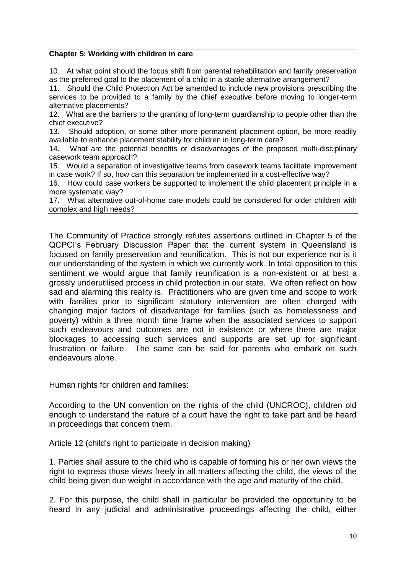### **Chapter 5: Working with children in care**

10. At what point should the focus shift from parental rehabilitation and family preservation as the preferred goal to the placement of a child in a stable alternative arrangement?

11. Should the Child Protection Act be amended to include new provisions prescribing the services to be provided to a family by the chief executive before moving to longer-term alternative placements?

12. What are the barriers to the granting of long-term guardianship to people other than the chief executive?

13. Should adoption, or some other more permanent placement option, be more readily available to enhance placement stability for children in long-term care?

14. What are the potential benefits or disadvantages of the proposed multi-disciplinary casework team approach?

15. Would a separation of investigative teams from casework teams facilitate improvement in case work? If so, how can this separation be implemented in a cost-effective way?

16. How could case workers be supported to implement the child placement principle in a more systematic way?

17. What alternative out-of-home care models could be considered for older children with complex and high needs?

The Community of Practice strongly refutes assertions outlined in Chapter 5 of the QCPCI's February Discussion Paper that the current system in Queensland is focused on family preservation and reunification. This is not our experience nor is it our understanding of the system in which we currently work. In total opposition to this sentiment we would argue that family reunification is a non-existent or at best a grossly underutilised process in child protection in our state. We often reflect on how sad and alarming this reality is. Practitioners who are given time and scope to work with families prior to significant statutory intervention are often charged with changing major factors of disadvantage for families (such as homelessness and poverty) within a three month time frame when the associated services to support such endeavours and outcomes are not in existence or where there are major blockages to accessing such services and supports are set up for significant frustration or failure. The same can be said for parents who embark on such endeavours alone.

Human rights for children and families:

According to the UN convention on the rights of the child (UNCROC), children old enough to understand the nature of a court have the right to take part and be heard in proceedings that concern them.

Article 12 (child's right to participate in decision making)

1. Parties shall assure to the child who is capable of forming his or her own views the right to express those views freely in all matters affecting the child, the views of the child being given due weight in accordance with the age and maturity of the child.

2. For this purpose, the child shall in particular be provided the opportunity to be heard in any judicial and administrative proceedings affecting the child, either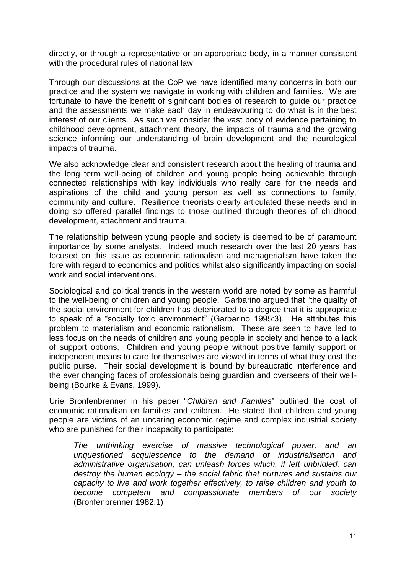directly, or through a representative or an appropriate body, in a manner consistent with the procedural rules of national law

Through our discussions at the CoP we have identified many concerns in both our practice and the system we navigate in working with children and families. We are fortunate to have the benefit of significant bodies of research to guide our practice and the assessments we make each day in endeavouring to do what is in the best interest of our clients. As such we consider the vast body of evidence pertaining to childhood development, attachment theory, the impacts of trauma and the growing science informing our understanding of brain development and the neurological impacts of trauma.

We also acknowledge clear and consistent research about the healing of trauma and the long term well-being of children and young people being achievable through connected relationships with key individuals who really care for the needs and aspirations of the child and young person as well as connections to family, community and culture. Resilience theorists clearly articulated these needs and in doing so offered parallel findings to those outlined through theories of childhood development, attachment and trauma.

The relationship between young people and society is deemed to be of paramount importance by some analysts. Indeed much research over the last 20 years has focused on this issue as economic rationalism and managerialism have taken the fore with regard to economics and politics whilst also significantly impacting on social work and social interventions.

Sociological and political trends in the western world are noted by some as harmful to the well-being of children and young people. Garbarino argued that "the quality of the social environment for children has deteriorated to a degree that it is appropriate to speak of a "socially toxic environment" (Garbarino 1995:3). He attributes this problem to materialism and economic rationalism. These are seen to have led to less focus on the needs of children and young people in society and hence to a lack of support options. Children and young people without positive family support or independent means to care for themselves are viewed in terms of what they cost the public purse. Their social development is bound by bureaucratic interference and the ever changing faces of professionals being guardian and overseers of their wellbeing (Bourke & Evans, 1999).

Urie Bronfenbrenner in his paper "*Children and Families*" outlined the cost of economic rationalism on families and children. He stated that children and young people are victims of an uncaring economic regime and complex industrial society who are punished for their incapacity to participate:

*The unthinking exercise of massive technological power, and an unquestioned acquiescence to the demand of industrialisation and administrative organisation, can unleash forces which, if left unbridled, can destroy the human ecology – the social fabric that nurtures and sustains our capacity to live and work together effectively, to raise children and youth to become competent and compassionate members of our society*  (Bronfenbrenner 1982:1)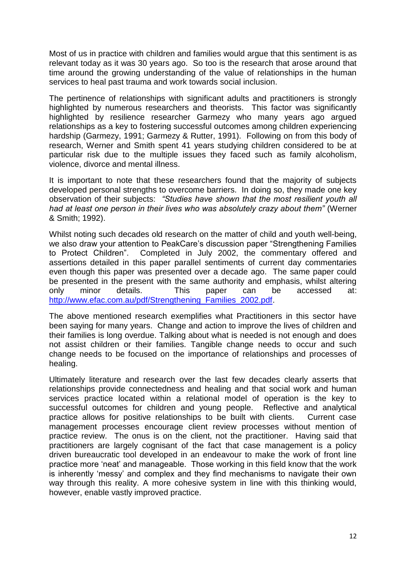Most of us in practice with children and families would argue that this sentiment is as relevant today as it was 30 years ago. So too is the research that arose around that time around the growing understanding of the value of relationships in the human services to heal past trauma and work towards social inclusion.

The pertinence of relationships with significant adults and practitioners is strongly highlighted by numerous researchers and theorists. This factor was significantly highlighted by resilience researcher Garmezy who many years ago argued relationships as a key to fostering successful outcomes among children experiencing hardship (Garmezy, 1991; Garmezy & Rutter, 1991). Following on from this body of research, Werner and Smith spent 41 years studying children considered to be at particular risk due to the multiple issues they faced such as family alcoholism, violence, divorce and mental illness.

It is important to note that these researchers found that the majority of subjects developed personal strengths to overcome barriers. In doing so, they made one key observation of their subjects: *"Studies have shown that the most resilient youth all had at least one person in their lives who was absolutely crazy about them"* (Werner & Smith; 1992).

Whilst noting such decades old research on the matter of child and youth well-being, we also draw your attention to PeakCare's discussion paper "Strengthening Families to Protect Children". Completed in July 2002, the commentary offered and assertions detailed in this paper parallel sentiments of current day commentaries even though this paper was presented over a decade ago. The same paper could be presented in the present with the same authority and emphasis, whilst altering only minor details. This paper can be accessed at: [http://www.efac.com.au/pdf/Strengthening\\_Families\\_2002.pdf.](http://www.efac.com.au/pdf/Strengthening_Families_2002.pdf)

The above mentioned research exemplifies what Practitioners in this sector have been saying for many years. Change and action to improve the lives of children and their families is long overdue. Talking about what is needed is not enough and does not assist children or their families. Tangible change needs to occur and such change needs to be focused on the importance of relationships and processes of healing.

Ultimately literature and research over the last few decades clearly asserts that relationships provide connectedness and healing and that social work and human services practice located within a relational model of operation is the key to successful outcomes for children and young people. Reflective and analytical practice allows for positive relationships to be built with clients. Current case management processes encourage client review processes without mention of practice review. The onus is on the client, not the practitioner. Having said that practitioners are largely cognisant of the fact that case management is a policy driven bureaucratic tool developed in an endeavour to make the work of front line practice more 'neat' and manageable. Those working in this field know that the work is inherently 'messy' and complex and they find mechanisms to navigate their own way through this reality. A more cohesive system in line with this thinking would, however, enable vastly improved practice.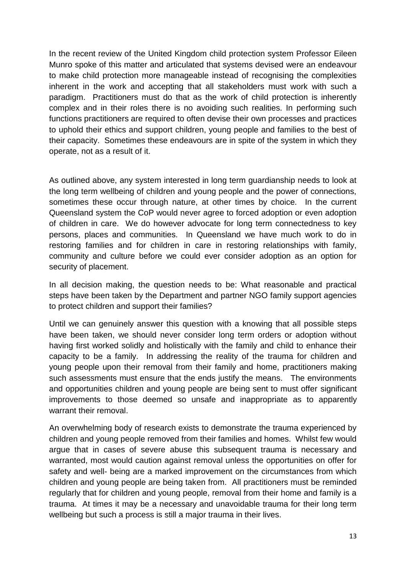In the recent review of the United Kingdom child protection system Professor Eileen Munro spoke of this matter and articulated that systems devised were an endeavour to make child protection more manageable instead of recognising the complexities inherent in the work and accepting that all stakeholders must work with such a paradigm. Practitioners must do that as the work of child protection is inherently complex and in their roles there is no avoiding such realities. In performing such functions practitioners are required to often devise their own processes and practices to uphold their ethics and support children, young people and families to the best of their capacity. Sometimes these endeavours are in spite of the system in which they operate, not as a result of it.

As outlined above, any system interested in long term guardianship needs to look at the long term wellbeing of children and young people and the power of connections, sometimes these occur through nature, at other times by choice. In the current Queensland system the CoP would never agree to forced adoption or even adoption of children in care. We do however advocate for long term connectedness to key persons, places and communities. In Queensland we have much work to do in restoring families and for children in care in restoring relationships with family, community and culture before we could ever consider adoption as an option for security of placement.

In all decision making, the question needs to be: What reasonable and practical steps have been taken by the Department and partner NGO family support agencies to protect children and support their families?

Until we can genuinely answer this question with a knowing that all possible steps have been taken, we should never consider long term orders or adoption without having first worked solidly and holistically with the family and child to enhance their capacity to be a family. In addressing the reality of the trauma for children and young people upon their removal from their family and home, practitioners making such assessments must ensure that the ends justify the means. The environments and opportunities children and young people are being sent to must offer significant improvements to those deemed so unsafe and inappropriate as to apparently warrant their removal.

An overwhelming body of research exists to demonstrate the trauma experienced by children and young people removed from their families and homes. Whilst few would argue that in cases of severe abuse this subsequent trauma is necessary and warranted, most would caution against removal unless the opportunities on offer for safety and well- being are a marked improvement on the circumstances from which children and young people are being taken from. All practitioners must be reminded regularly that for children and young people, removal from their home and family is a trauma. At times it may be a necessary and unavoidable trauma for their long term wellbeing but such a process is still a major trauma in their lives.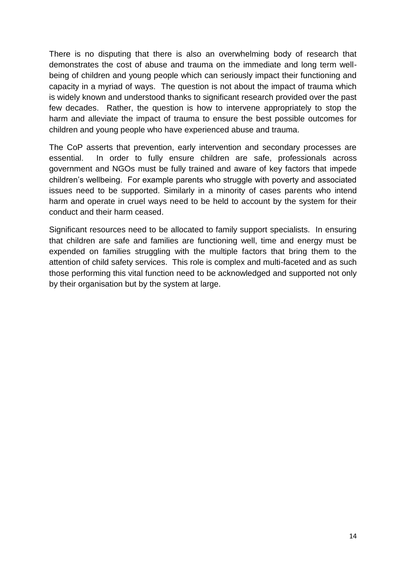There is no disputing that there is also an overwhelming body of research that demonstrates the cost of abuse and trauma on the immediate and long term wellbeing of children and young people which can seriously impact their functioning and capacity in a myriad of ways. The question is not about the impact of trauma which is widely known and understood thanks to significant research provided over the past few decades. Rather, the question is how to intervene appropriately to stop the harm and alleviate the impact of trauma to ensure the best possible outcomes for children and young people who have experienced abuse and trauma.

The CoP asserts that prevention, early intervention and secondary processes are essential. In order to fully ensure children are safe, professionals across government and NGOs must be fully trained and aware of key factors that impede children's wellbeing. For example parents who struggle with poverty and associated issues need to be supported. Similarly in a minority of cases parents who intend harm and operate in cruel ways need to be held to account by the system for their conduct and their harm ceased.

Significant resources need to be allocated to family support specialists. In ensuring that children are safe and families are functioning well, time and energy must be expended on families struggling with the multiple factors that bring them to the attention of child safety services. This role is complex and multi-faceted and as such those performing this vital function need to be acknowledged and supported not only by their organisation but by the system at large.